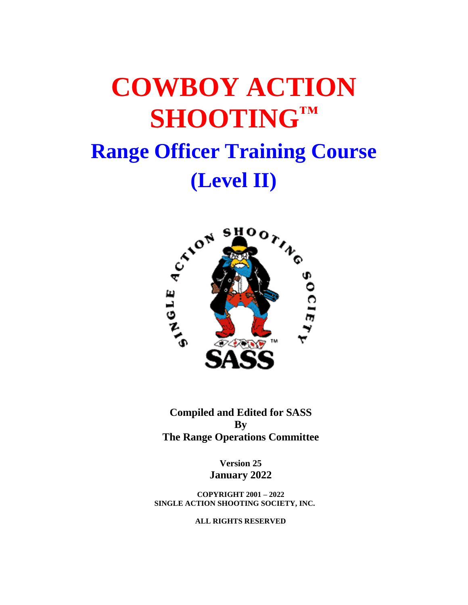# **COWBOY ACTION SHOOTING™ Range Officer Training Course**



**Compiled and Edited for SASS By The Range Operations Committee**

> **Version 25 January 2022**

**COPYRIGHT 2001 – 2022 SINGLE ACTION SHOOTING SOCIETY, INC.**

**ALL RIGHTS RESERVED**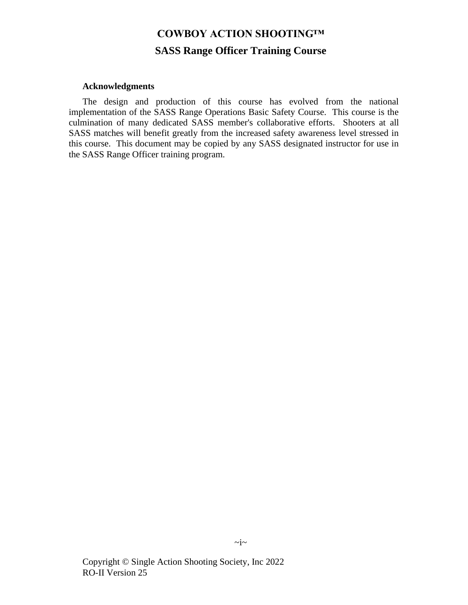# **COWBOY ACTION SHOOTING™ SASS Range Officer Training Course**

#### **Acknowledgments**

The design and production of this course has evolved from the national implementation of the SASS Range Operations Basic Safety Course. This course is the culmination of many dedicated SASS member's collaborative efforts. Shooters at all SASS matches will benefit greatly from the increased safety awareness level stressed in this course. This document may be copied by any SASS designated instructor for use in the SASS Range Officer training program.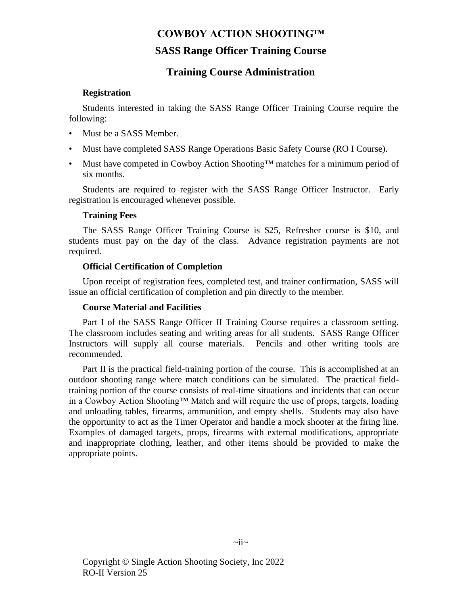# **SASS Range Officer Training Course**

# **Training Course Administration**

# **Registration**

Students interested in taking the SASS Range Officer Training Course require the following:

- Must be a SASS Member.
- Must have completed SASS Range Operations Basic Safety Course (RO I Course).
- Must have competed in Cowboy Action Shooting™ matches for a minimum period of six months.

Students are required to register with the SASS Range Officer Instructor. Early registration is encouraged whenever possible.

# **Training Fees**

The SASS Range Officer Training Course is \$25, Refresher course is \$10, and students must pay on the day of the class. Advance registration payments are not required.

# **Official Certification of Completion**

Upon receipt of registration fees, completed test, and trainer confirmation, SASS will issue an official certification of completion and pin directly to the member.

## **Course Material and Facilities**

Part I of the SASS Range Officer II Training Course requires a classroom setting. The classroom includes seating and writing areas for all students. SASS Range Officer Instructors will supply all course materials. Pencils and other writing tools are recommended.

Part II is the practical field-training portion of the course. This is accomplished at an outdoor shooting range where match conditions can be simulated. The practical fieldtraining portion of the course consists of real-time situations and incidents that can occur in a Cowboy Action Shooting™ Match and will require the use of props, targets, loading and unloading tables, firearms, ammunition, and empty shells. Students may also have the opportunity to act as the Timer Operator and handle a mock shooter at the firing line. Examples of damaged targets, props, firearms with external modifications, appropriate and inappropriate clothing, leather, and other items should be provided to make the appropriate points.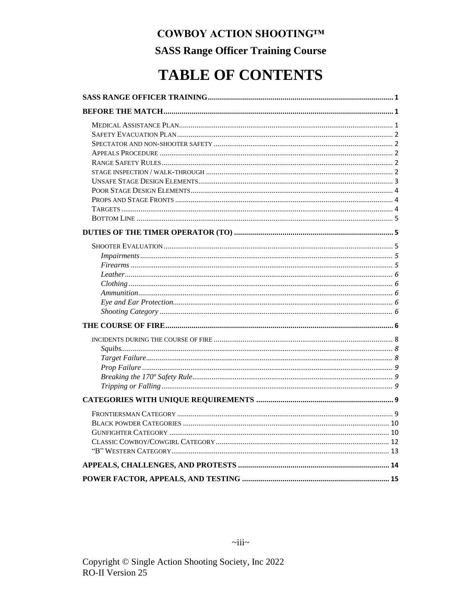**SASS Range Officer Training Course** 

# **TABLE OF CONTENTS**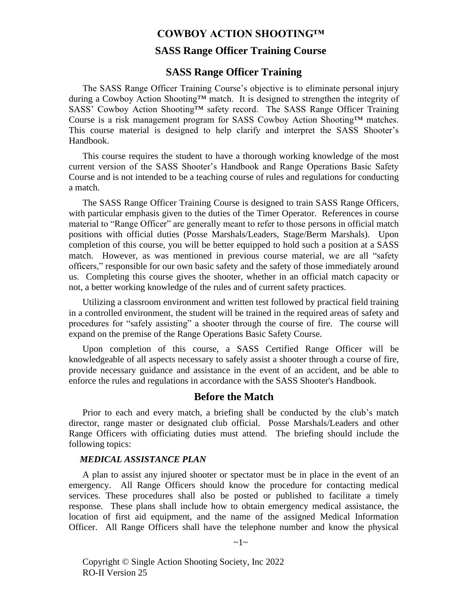# **SASS Range Officer Training Course**

# **SASS Range Officer Training**

<span id="page-4-0"></span>The SASS Range Officer Training Course's objective is to eliminate personal injury during a Cowboy Action Shooting™ match. It is designed to strengthen the integrity of SASS' Cowboy Action Shooting™ safety record. The SASS Range Officer Training Course is a risk management program for SASS Cowboy Action Shooting™ matches. This course material is designed to help clarify and interpret the SASS Shooter's Handbook.

This course requires the student to have a thorough working knowledge of the most current version of the SASS Shooter's Handbook and Range Operations Basic Safety Course and is not intended to be a teaching course of rules and regulations for conducting a match.

The SASS Range Officer Training Course is designed to train SASS Range Officers, with particular emphasis given to the duties of the Timer Operator. References in course material to "Range Officer" are generally meant to refer to those persons in official match positions with official duties (Posse Marshals/Leaders, Stage/Berm Marshals). Upon completion of this course, you will be better equipped to hold such a position at a SASS match. However, as was mentioned in previous course material, we are all "safety officers," responsible for our own basic safety and the safety of those immediately around us. Completing this course gives the shooter, whether in an official match capacity or not, a better working knowledge of the rules and of current safety practices.

Utilizing a classroom environment and written test followed by practical field training in a controlled environment, the student will be trained in the required areas of safety and procedures for "safely assisting" a shooter through the course of fire. The course will expand on the premise of the Range Operations Basic Safety Course.

Upon completion of this course, a SASS Certified Range Officer will be knowledgeable of all aspects necessary to safely assist a shooter through a course of fire, provide necessary guidance and assistance in the event of an accident, and be able to enforce the rules and regulations in accordance with the SASS Shooter's Handbook.

# **Before the Match**

<span id="page-4-1"></span>Prior to each and every match, a briefing shall be conducted by the club's match director, range master or designated club official. Posse Marshals/Leaders and other Range Officers with officiating duties must attend. The briefing should include the following topics:

#### <span id="page-4-2"></span>*MEDICAL ASSISTANCE PLAN*

A plan to assist any injured shooter or spectator must be in place in the event of an emergency. All Range Officers should know the procedure for contacting medical services. These procedures shall also be posted or published to facilitate a timely response. These plans shall include how to obtain emergency medical assistance, the location of first aid equipment, and the name of the assigned Medical Information Officer. All Range Officers shall have the telephone number and know the physical

 $\sim$ 1 $\sim$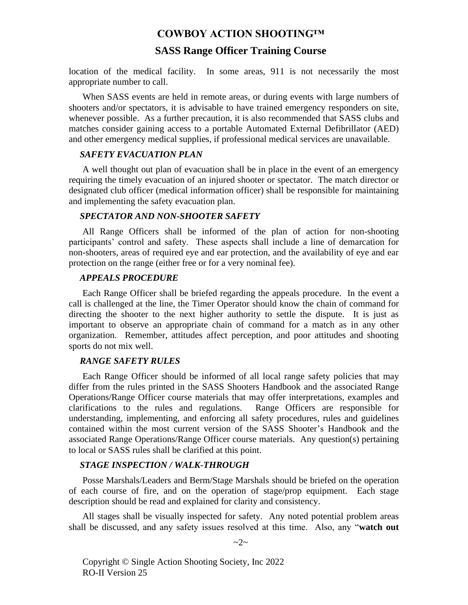# **SASS Range Officer Training Course**

location of the medical facility. In some areas, 911 is not necessarily the most appropriate number to call.

When SASS events are held in remote areas, or during events with large numbers of shooters and/or spectators, it is advisable to have trained emergency responders on site, whenever possible. As a further precaution, it is also recommended that SASS clubs and matches consider gaining access to a portable Automated External Defibrillator (AED) and other emergency medical supplies, if professional medical services are unavailable.

#### <span id="page-5-0"></span>*SAFETY EVACUATION PLAN*

A well thought out plan of evacuation shall be in place in the event of an emergency requiring the timely evacuation of an injured shooter or spectator. The match director or designated club officer (medical information officer) shall be responsible for maintaining and implementing the safety evacuation plan.

#### <span id="page-5-1"></span>*SPECTATOR AND NON-SHOOTER SAFETY*

All Range Officers shall be informed of the plan of action for non-shooting participants' control and safety. These aspects shall include a line of demarcation for non-shooters, areas of required eye and ear protection, and the availability of eye and ear protection on the range (either free or for a very nominal fee).

#### <span id="page-5-2"></span>*APPEALS PROCEDURE*

Each Range Officer shall be briefed regarding the appeals procedure. In the event a call is challenged at the line, the Timer Operator should know the chain of command for directing the shooter to the next higher authority to settle the dispute. It is just as important to observe an appropriate chain of command for a match as in any other organization. Remember, attitudes affect perception, and poor attitudes and shooting sports do not mix well.

#### <span id="page-5-3"></span>*RANGE SAFETY RULES*

Each Range Officer should be informed of all local range safety policies that may differ from the rules printed in the SASS Shooters Handbook and the associated Range Operations/Range Officer course materials that may offer interpretations, examples and clarifications to the rules and regulations. Range Officers are responsible for understanding, implementing, and enforcing all safety procedures, rules and guidelines contained within the most current version of the SASS Shooter's Handbook and the associated Range Operations/Range Officer course materials. Any question(s) pertaining to local or SASS rules shall be clarified at this point.

#### <span id="page-5-4"></span>*STAGE INSPECTION / WALK-THROUGH*

Posse Marshals/Leaders and Berm/Stage Marshals should be briefed on the operation of each course of fire, and on the operation of stage/prop equipment. Each stage description should be read and explained for clarity and consistency.

All stages shall be visually inspected for safety. Any noted potential problem areas shall be discussed, and any safety issues resolved at this time. Also, any "**watch out** 

Copyright © Single Action Shooting Society, Inc 2022 RO-II Version 25

 $\sim$ 2~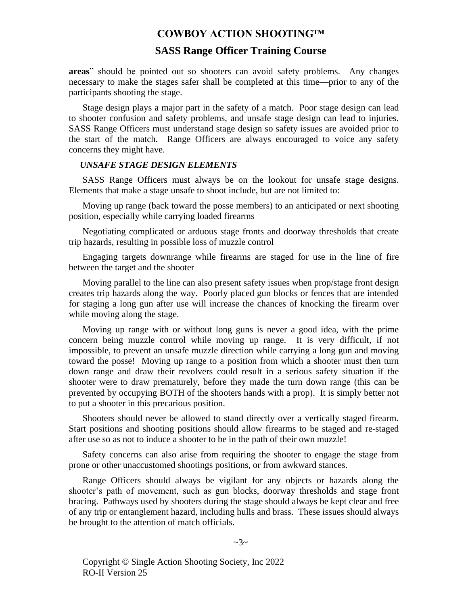# **SASS Range Officer Training Course**

**areas**" should be pointed out so shooters can avoid safety problems. Any changes necessary to make the stages safer shall be completed at this time—prior to any of the participants shooting the stage.

Stage design plays a major part in the safety of a match. Poor stage design can lead to shooter confusion and safety problems, and unsafe stage design can lead to injuries. SASS Range Officers must understand stage design so safety issues are avoided prior to the start of the match. Range Officers are always encouraged to voice any safety concerns they might have.

#### <span id="page-6-0"></span>*UNSAFE STAGE DESIGN ELEMENTS*

SASS Range Officers must always be on the lookout for unsafe stage designs. Elements that make a stage unsafe to shoot include, but are not limited to:

Moving up range (back toward the posse members) to an anticipated or next shooting position, especially while carrying loaded firearms

Negotiating complicated or arduous stage fronts and doorway thresholds that create trip hazards, resulting in possible loss of muzzle control

Engaging targets downrange while firearms are staged for use in the line of fire between the target and the shooter

Moving parallel to the line can also present safety issues when prop/stage front design creates trip hazards along the way. Poorly placed gun blocks or fences that are intended for staging a long gun after use will increase the chances of knocking the firearm over while moving along the stage.

Moving up range with or without long guns is never a good idea, with the prime concern being muzzle control while moving up range. It is very difficult, if not impossible, to prevent an unsafe muzzle direction while carrying a long gun and moving toward the posse! Moving up range to a position from which a shooter must then turn down range and draw their revolvers could result in a serious safety situation if the shooter were to draw prematurely, before they made the turn down range (this can be prevented by occupying BOTH of the shooters hands with a prop). It is simply better not to put a shooter in this precarious position.

Shooters should never be allowed to stand directly over a vertically staged firearm. Start positions and shooting positions should allow firearms to be staged and re-staged after use so as not to induce a shooter to be in the path of their own muzzle!

Safety concerns can also arise from requiring the shooter to engage the stage from prone or other unaccustomed shootings positions, or from awkward stances.

Range Officers should always be vigilant for any objects or hazards along the shooter's path of movement, such as gun blocks, doorway thresholds and stage front bracing. Pathways used by shooters during the stage should always be kept clear and free of any trip or entanglement hazard, including hulls and brass. These issues should always be brought to the attention of match officials.

 $\sim$ 3 $\sim$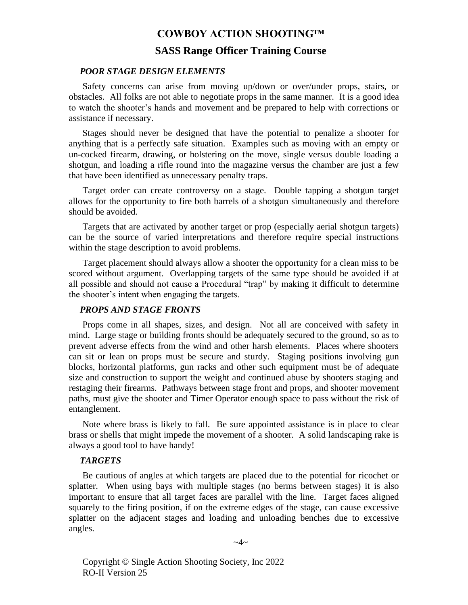# **SASS Range Officer Training Course**

#### <span id="page-7-0"></span>*POOR STAGE DESIGN ELEMENTS*

Safety concerns can arise from moving up/down or over/under props, stairs, or obstacles. All folks are not able to negotiate props in the same manner. It is a good idea to watch the shooter's hands and movement and be prepared to help with corrections or assistance if necessary.

Stages should never be designed that have the potential to penalize a shooter for anything that is a perfectly safe situation. Examples such as moving with an empty or un-cocked firearm, drawing, or holstering on the move, single versus double loading a shotgun, and loading a rifle round into the magazine versus the chamber are just a few that have been identified as unnecessary penalty traps.

Target order can create controversy on a stage. Double tapping a shotgun target allows for the opportunity to fire both barrels of a shotgun simultaneously and therefore should be avoided.

Targets that are activated by another target or prop (especially aerial shotgun targets) can be the source of varied interpretations and therefore require special instructions within the stage description to avoid problems.

Target placement should always allow a shooter the opportunity for a clean miss to be scored without argument. Overlapping targets of the same type should be avoided if at all possible and should not cause a Procedural "trap" by making it difficult to determine the shooter's intent when engaging the targets.

#### <span id="page-7-1"></span>*PROPS AND STAGE FRONTS*

Props come in all shapes, sizes, and design. Not all are conceived with safety in mind. Large stage or building fronts should be adequately secured to the ground, so as to prevent adverse effects from the wind and other harsh elements. Places where shooters can sit or lean on props must be secure and sturdy. Staging positions involving gun blocks, horizontal platforms, gun racks and other such equipment must be of adequate size and construction to support the weight and continued abuse by shooters staging and restaging their firearms. Pathways between stage front and props, and shooter movement paths, must give the shooter and Timer Operator enough space to pass without the risk of entanglement.

Note where brass is likely to fall. Be sure appointed assistance is in place to clear brass or shells that might impede the movement of a shooter. A solid landscaping rake is always a good tool to have handy!

#### <span id="page-7-2"></span>*TARGETS*

Be cautious of angles at which targets are placed due to the potential for ricochet or splatter. When using bays with multiple stages (no berms between stages) it is also important to ensure that all target faces are parallel with the line. Target faces aligned squarely to the firing position, if on the extreme edges of the stage, can cause excessive splatter on the adjacent stages and loading and unloading benches due to excessive angles.

 $\sim$ 4 $\sim$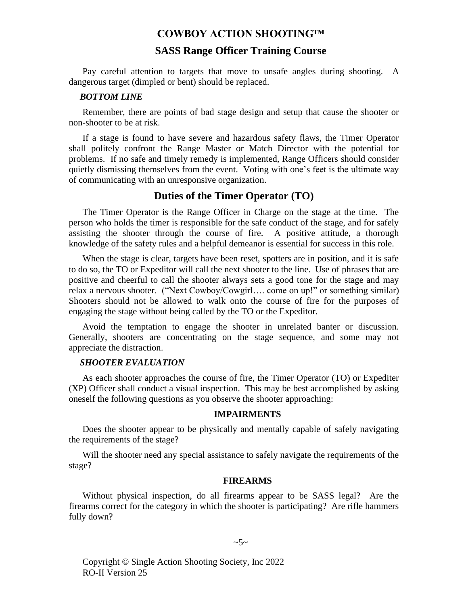# **SASS Range Officer Training Course**

Pay careful attention to targets that move to unsafe angles during shooting. A dangerous target (dimpled or bent) should be replaced.

#### <span id="page-8-0"></span>*BOTTOM LINE*

Remember, there are points of bad stage design and setup that cause the shooter or non-shooter to be at risk.

If a stage is found to have severe and hazardous safety flaws, the Timer Operator shall politely confront the Range Master or Match Director with the potential for problems. If no safe and timely remedy is implemented, Range Officers should consider quietly dismissing themselves from the event. Voting with one's feet is the ultimate way of communicating with an unresponsive organization.

# **Duties of the Timer Operator (TO)**

<span id="page-8-1"></span>The Timer Operator is the Range Officer in Charge on the stage at the time. The person who holds the timer is responsible for the safe conduct of the stage, and for safely assisting the shooter through the course of fire. A positive attitude, a thorough knowledge of the safety rules and a helpful demeanor is essential for success in this role.

When the stage is clear, targets have been reset, spotters are in position, and it is safe to do so, the TO or Expeditor will call the next shooter to the line. Use of phrases that are positive and cheerful to call the shooter always sets a good tone for the stage and may relax a nervous shooter. ("Next Cowboy/Cowgirl…. come on up!" or something similar) Shooters should not be allowed to walk onto the course of fire for the purposes of engaging the stage without being called by the TO or the Expeditor.

Avoid the temptation to engage the shooter in unrelated banter or discussion. Generally, shooters are concentrating on the stage sequence, and some may not appreciate the distraction.

#### <span id="page-8-2"></span>*SHOOTER EVALUATION*

As each shooter approaches the course of fire, the Timer Operator (TO) or Expediter (XP) Officer shall conduct a visual inspection. This may be best accomplished by asking oneself the following questions as you observe the shooter approaching:

#### **IMPAIRMENTS**

<span id="page-8-3"></span>Does the shooter appear to be physically and mentally capable of safely navigating the requirements of the stage?

Will the shooter need any special assistance to safely navigate the requirements of the stage?

#### **FIREARMS**

<span id="page-8-4"></span>Without physical inspection, do all firearms appear to be SASS legal? Are the firearms correct for the category in which the shooter is participating? Are rifle hammers fully down?

#### $\sim 5$ ~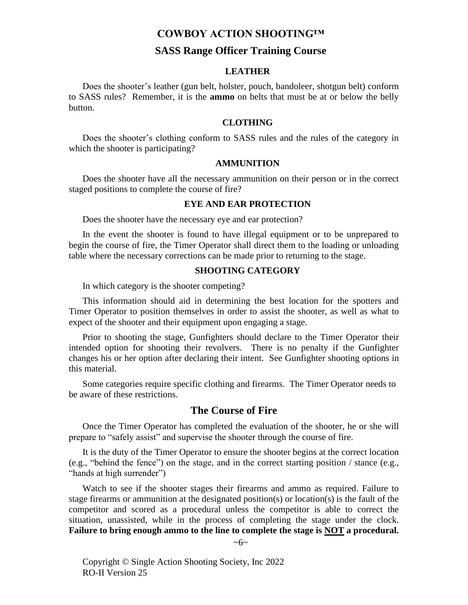# **SASS Range Officer Training Course**

#### **LEATHER**

<span id="page-9-0"></span>Does the shooter's leather (gun belt, holster, pouch, bandoleer, shotgun belt) conform to SASS rules? Remember, it is the **ammo** on belts that must be at or below the belly button.

#### **CLOTHING**

<span id="page-9-1"></span>Does the shooter's clothing conform to SASS rules and the rules of the category in which the shooter is participating?

#### **AMMUNITION**

<span id="page-9-2"></span>Does the shooter have all the necessary ammunition on their person or in the correct staged positions to complete the course of fire?

#### **EYE AND EAR PROTECTION**

<span id="page-9-3"></span>Does the shooter have the necessary eye and ear protection?

In the event the shooter is found to have illegal equipment or to be unprepared to begin the course of fire, the Timer Operator shall direct them to the loading or unloading table where the necessary corrections can be made prior to returning to the stage.

#### **SHOOTING CATEGORY**

<span id="page-9-4"></span>In which category is the shooter competing?

This information should aid in determining the best location for the spotters and Timer Operator to position themselves in order to assist the shooter, as well as what to expect of the shooter and their equipment upon engaging a stage.

Prior to shooting the stage, Gunfighters should declare to the Timer Operator their intended option for shooting their revolvers. There is no penalty if the Gunfighter changes his or her option after declaring their intent. See Gunfighter shooting options in this material.

Some categories require specific clothing and firearms. The Timer Operator needs to be aware of these restrictions.

# **The Course of Fire**

<span id="page-9-5"></span>Once the Timer Operator has completed the evaluation of the shooter, he or she will prepare to "safely assist" and supervise the shooter through the course of fire.

It is the duty of the Timer Operator to ensure the shooter begins at the correct location (e.g., "behind the fence") on the stage, and in the correct starting position / stance (e.g., "hands at high surrender")

Watch to see if the shooter stages their firearms and ammo as required. Failure to stage firearms or ammunition at the designated position(s) or location(s) is the fault of the competitor and scored as a procedural unless the competitor is able to correct the situation, unassisted, while in the process of completing the stage under the clock. **Failure to bring enough ammo to the line to complete the stage is NOT a procedural.** 

 $~\sim 6~\sim$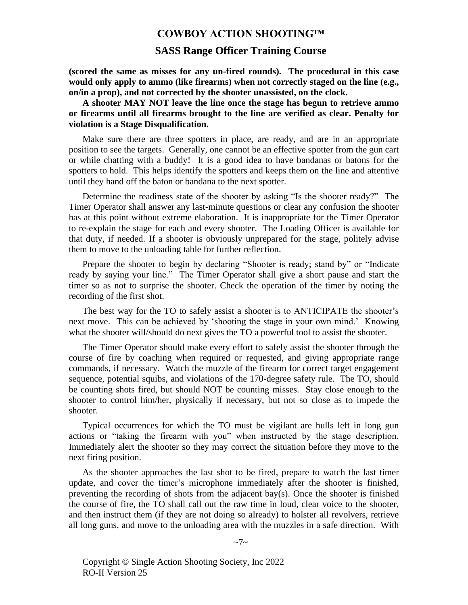#### **SASS Range Officer Training Course**

**(scored the same as misses for any un-fired rounds). The procedural in this case would only apply to ammo (like firearms) when not correctly staged on the line (e.g., on/in a prop), and not corrected by the shooter unassisted, on the clock.**

**A shooter MAY NOT leave the line once the stage has begun to retrieve ammo or firearms until all firearms brought to the line are verified as clear. Penalty for violation is a Stage Disqualification.**

Make sure there are three spotters in place, are ready, and are in an appropriate position to see the targets. Generally, one cannot be an effective spotter from the gun cart or while chatting with a buddy! It is a good idea to have bandanas or batons for the spotters to hold. This helps identify the spotters and keeps them on the line and attentive until they hand off the baton or bandana to the next spotter.

Determine the readiness state of the shooter by asking "Is the shooter ready?" The Timer Operator shall answer any last-minute questions or clear any confusion the shooter has at this point without extreme elaboration. It is inappropriate for the Timer Operator to re-explain the stage for each and every shooter. The Loading Officer is available for that duty, if needed. If a shooter is obviously unprepared for the stage, politely advise them to move to the unloading table for further reflection.

Prepare the shooter to begin by declaring "Shooter is ready; stand by" or "Indicate ready by saying your line." The Timer Operator shall give a short pause and start the timer so as not to surprise the shooter. Check the operation of the timer by noting the recording of the first shot.

The best way for the TO to safely assist a shooter is to ANTICIPATE the shooter's next move. This can be achieved by 'shooting the stage in your own mind.' Knowing what the shooter will/should do next gives the TO a powerful tool to assist the shooter.

The Timer Operator should make every effort to safely assist the shooter through the course of fire by coaching when required or requested, and giving appropriate range commands, if necessary. Watch the muzzle of the firearm for correct target engagement sequence, potential squibs, and violations of the 170-degree safety rule. The TO, should be counting shots fired, but should NOT be counting misses. Stay close enough to the shooter to control him/her, physically if necessary, but not so close as to impede the shooter.

Typical occurrences for which the TO must be vigilant are hulls left in long gun actions or "taking the firearm with you" when instructed by the stage description. Immediately alert the shooter so they may correct the situation before they move to the next firing position.

As the shooter approaches the last shot to be fired, prepare to watch the last timer update, and cover the timer's microphone immediately after the shooter is finished, preventing the recording of shots from the adjacent bay(s). Once the shooter is finished the course of fire, the TO shall call out the raw time in loud, clear voice to the shooter, and then instruct them (if they are not doing so already) to holster all revolvers, retrieve all long guns, and move to the unloading area with the muzzles in a safe direction. With

 $\sim 7$ ~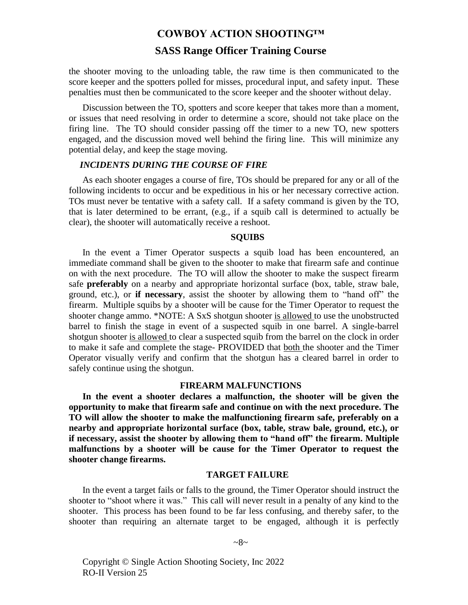# **SASS Range Officer Training Course**

the shooter moving to the unloading table, the raw time is then communicated to the score keeper and the spotters polled for misses, procedural input, and safety input. These penalties must then be communicated to the score keeper and the shooter without delay.

Discussion between the TO, spotters and score keeper that takes more than a moment, or issues that need resolving in order to determine a score, should not take place on the firing line. The TO should consider passing off the timer to a new TO, new spotters engaged, and the discussion moved well behind the firing line. This will minimize any potential delay, and keep the stage moving.

#### <span id="page-11-0"></span>*INCIDENTS DURING THE COURSE OF FIRE*

As each shooter engages a course of fire, TOs should be prepared for any or all of the following incidents to occur and be expeditious in his or her necessary corrective action. TOs must never be tentative with a safety call. If a safety command is given by the TO, that is later determined to be errant, (e.g., if a squib call is determined to actually be clear), the shooter will automatically receive a reshoot.

#### **SQUIBS**

<span id="page-11-1"></span>In the event a Timer Operator suspects a squib load has been encountered, an immediate command shall be given to the shooter to make that firearm safe and continue on with the next procedure. The TO will allow the shooter to make the suspect firearm safe **preferably** on a nearby and appropriate horizontal surface (box, table, straw bale, ground, etc.), or **if necessary**, assist the shooter by allowing them to "hand off" the firearm. Multiple squibs by a shooter will be cause for the Timer Operator to request the shooter change ammo. \*NOTE: A SxS shotgun shooter is allowed to use the unobstructed barrel to finish the stage in event of a suspected squib in one barrel. A single-barrel shotgun shooter is allowed to clear a suspected squib from the barrel on the clock in order to make it safe and complete the stage- PROVIDED that both the shooter and the Timer Operator visually verify and confirm that the shotgun has a cleared barrel in order to safely continue using the shotgun.

#### **FIREARM MALFUNCTIONS**

**In the event a shooter declares a malfunction, the shooter will be given the opportunity to make that firearm safe and continue on with the next procedure. The TO will allow the shooter to make the malfunctioning firearm safe, preferably on a nearby and appropriate horizontal surface (box, table, straw bale, ground, etc.), or if necessary, assist the shooter by allowing them to "hand off" the firearm. Multiple malfunctions by a shooter will be cause for the Timer Operator to request the shooter change firearms.**

#### **TARGET FAILURE**

<span id="page-11-2"></span>In the event a target fails or falls to the ground, the Timer Operator should instruct the shooter to "shoot where it was." This call will never result in a penalty of any kind to the shooter. This process has been found to be far less confusing, and thereby safer, to the shooter than requiring an alternate target to be engaged, although it is perfectly

#### $~28~$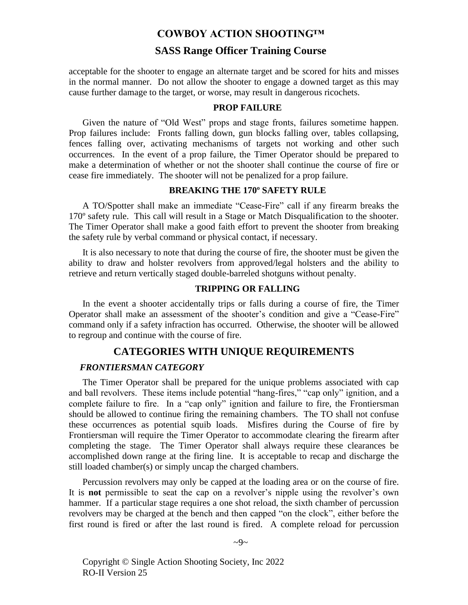# **SASS Range Officer Training Course**

acceptable for the shooter to engage an alternate target and be scored for hits and misses in the normal manner. Do not allow the shooter to engage a downed target as this may cause further damage to the target, or worse, may result in dangerous ricochets.

#### **PROP FAILURE**

<span id="page-12-0"></span>Given the nature of "Old West" props and stage fronts, failures sometime happen. Prop failures include: Fronts falling down, gun blocks falling over, tables collapsing, fences falling over, activating mechanisms of targets not working and other such occurrences. In the event of a prop failure, the Timer Operator should be prepared to make a determination of whether or not the shooter shall continue the course of fire or cease fire immediately. The shooter will not be penalized for a prop failure.

#### **BREAKING THE 170º SAFETY RULE**

<span id="page-12-1"></span>A TO/Spotter shall make an immediate "Cease-Fire" call if any firearm breaks the 170º safety rule. This call will result in a Stage or Match Disqualification to the shooter. The Timer Operator shall make a good faith effort to prevent the shooter from breaking the safety rule by verbal command or physical contact, if necessary.

It is also necessary to note that during the course of fire, the shooter must be given the ability to draw and holster revolvers from approved/legal holsters and the ability to retrieve and return vertically staged double-barreled shotguns without penalty.

#### **TRIPPING OR FALLING**

<span id="page-12-2"></span>In the event a shooter accidentally trips or falls during a course of fire, the Timer Operator shall make an assessment of the shooter's condition and give a "Cease-Fire" command only if a safety infraction has occurred. Otherwise, the shooter will be allowed to regroup and continue with the course of fire.

#### **CATEGORIES WITH UNIQUE REQUIREMENTS**

#### <span id="page-12-4"></span><span id="page-12-3"></span>*FRONTIERSMAN CATEGORY*

The Timer Operator shall be prepared for the unique problems associated with cap and ball revolvers. These items include potential "hang-fires," "cap only" ignition, and a complete failure to fire. In a "cap only" ignition and failure to fire, the Frontiersman should be allowed to continue firing the remaining chambers. The TO shall not confuse these occurrences as potential squib loads. Misfires during the Course of fire by Frontiersman will require the Timer Operator to accommodate clearing the firearm after completing the stage. The Timer Operator shall always require these clearances be accomplished down range at the firing line. It is acceptable to recap and discharge the still loaded chamber(s) or simply uncap the charged chambers.

Percussion revolvers may only be capped at the loading area or on the course of fire. It is **not** permissible to seat the cap on a revolver's nipple using the revolver's own hammer. If a particular stage requires a one shot reload, the sixth chamber of percussion revolvers may be charged at the bench and then capped "on the clock", either before the first round is fired or after the last round is fired. A complete reload for percussion

 $\sim 9$ ~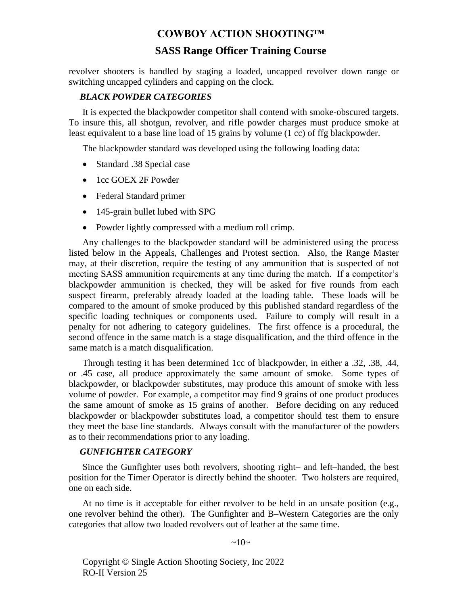# **SASS Range Officer Training Course**

revolver shooters is handled by staging a loaded, uncapped revolver down range or switching uncapped cylinders and capping on the clock.

#### <span id="page-13-0"></span>*BLACK POWDER CATEGORIES*

It is expected the blackpowder competitor shall contend with smoke-obscured targets. To insure this, all shotgun, revolver, and rifle powder charges must produce smoke at least equivalent to a base line load of 15 grains by volume (1 cc) of ffg blackpowder.

The blackpowder standard was developed using the following loading data:

- Standard .38 Special case
- 1cc GOEX 2F Powder
- Federal Standard primer
- 145-grain bullet lubed with SPG
- Powder lightly compressed with a medium roll crimp.

Any challenges to the blackpowder standard will be administered using the process listed below in the Appeals, Challenges and Protest section. Also, the Range Master may, at their discretion, require the testing of any ammunition that is suspected of not meeting SASS ammunition requirements at any time during the match. If a competitor's blackpowder ammunition is checked, they will be asked for five rounds from each suspect firearm, preferably already loaded at the loading table. These loads will be compared to the amount of smoke produced by this published standard regardless of the specific loading techniques or components used. Failure to comply will result in a penalty for not adhering to category guidelines. The first offence is a procedural, the second offence in the same match is a stage disqualification, and the third offence in the same match is a match disqualification.

Through testing it has been determined 1cc of blackpowder, in either a .32, .38, .44, or .45 case, all produce approximately the same amount of smoke. Some types of blackpowder, or blackpowder substitutes, may produce this amount of smoke with less volume of powder. For example, a competitor may find 9 grains of one product produces the same amount of smoke as 15 grains of another. Before deciding on any reduced blackpowder or blackpowder substitutes load, a competitor should test them to ensure they meet the base line standards. Always consult with the manufacturer of the powders as to their recommendations prior to any loading.

#### <span id="page-13-1"></span>*GUNFIGHTER CATEGORY*

Since the Gunfighter uses both revolvers, shooting right– and left–handed, the best position for the Timer Operator is directly behind the shooter. Two holsters are required, one on each side.

At no time is it acceptable for either revolver to be held in an unsafe position (e.g., one revolver behind the other). The Gunfighter and B–Western Categories are the only categories that allow two loaded revolvers out of leather at the same time.

 $\sim 10\sim$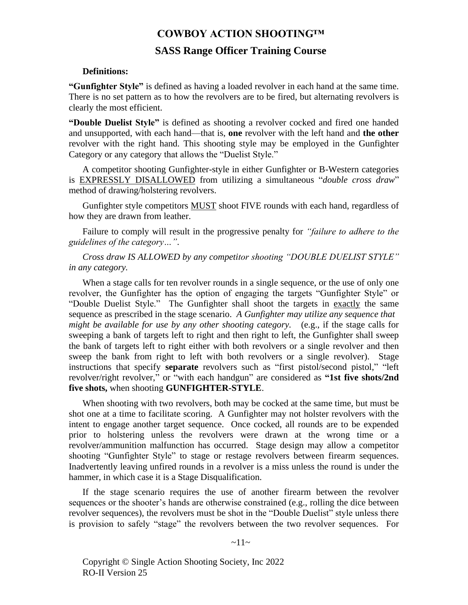# **SASS Range Officer Training Course**

#### **Definitions:**

**"Gunfighter Style"** is defined as having a loaded revolver in each hand at the same time. There is no set pattern as to how the revolvers are to be fired, but alternating revolvers is clearly the most efficient.

**"Double Duelist Style"** is defined as shooting a revolver cocked and fired one handed and unsupported, with each hand—that is, **one** revolver with the left hand and **the other** revolver with the right hand. This shooting style may be employed in the Gunfighter Category or any category that allows the "Duelist Style."

A competitor shooting Gunfighter-style in either Gunfighter or B-Western categories is EXPRESSLY DISALLOWED from utilizing a simultaneous "*double cross draw*" method of drawing/holstering revolvers.

Gunfighter style competitors MUST shoot FIVE rounds with each hand, regardless of how they are drawn from leather.

Failure to comply will result in the progressive penalty for *"failure to adhere to the guidelines of the category…"*.

*Cross draw IS ALLOWED by any competitor shooting "DOUBLE DUELIST STYLE" in any category.*

When a stage calls for ten revolver rounds in a single sequence, or the use of only one revolver, the Gunfighter has the option of engaging the targets "Gunfighter Style" or "Double Duelist Style." The Gunfighter shall shoot the targets in exactly the same sequence as prescribed in the stage scenario. *A Gunfighter may utilize any sequence that might be available for use by any other shooting category.* (e.g., if the stage calls for sweeping a bank of targets left to right and then right to left, the Gunfighter shall sweep the bank of targets left to right either with both revolvers or a single revolver and then sweep the bank from right to left with both revolvers or a single revolver). Stage instructions that specify **separate** revolvers such as "first pistol/second pistol," "left revolver/right revolver," or "with each handgun" are considered as **"1st five shots/2nd five shots,** when shooting **GUNFIGHTER-STYLE**.

When shooting with two revolvers, both may be cocked at the same time, but must be shot one at a time to facilitate scoring. A Gunfighter may not holster revolvers with the intent to engage another target sequence. Once cocked, all rounds are to be expended prior to holstering unless the revolvers were drawn at the wrong time or a revolver/ammunition malfunction has occurred. Stage design may allow a competitor shooting "Gunfighter Style" to stage or restage revolvers between firearm sequences. Inadvertently leaving unfired rounds in a revolver is a miss unless the round is under the hammer, in which case it is a Stage Disqualification.

If the stage scenario requires the use of another firearm between the revolver sequences or the shooter's hands are otherwise constrained (e.g., rolling the dice between revolver sequences), the revolvers must be shot in the "Double Duelist" style unless there is provision to safely "stage" the revolvers between the two revolver sequences. For

 $~11~$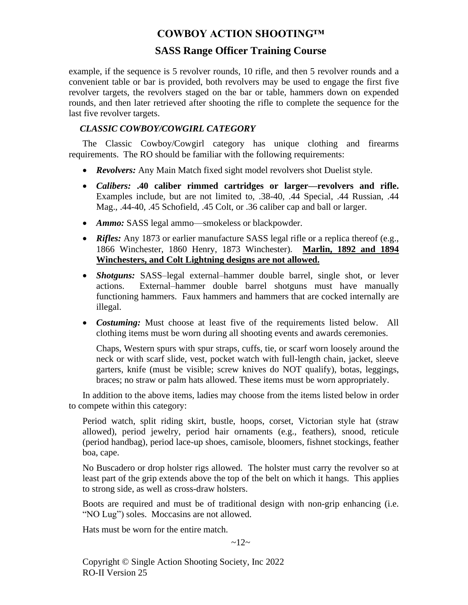# **SASS Range Officer Training Course**

example, if the sequence is 5 revolver rounds, 10 rifle, and then 5 revolver rounds and a convenient table or bar is provided, both revolvers may be used to engage the first five revolver targets, the revolvers staged on the bar or table, hammers down on expended rounds, and then later retrieved after shooting the rifle to complete the sequence for the last five revolver targets.

# <span id="page-15-0"></span>*CLASSIC COWBOY/COWGIRL CATEGORY*

The Classic Cowboy/Cowgirl category has unique clothing and firearms requirements. The RO should be familiar with the following requirements:

- *Revolvers:* Any Main Match fixed sight model revolvers shot Duelist style.
- *Calibers:* **.40 caliber rimmed cartridges or larger—revolvers and rifle.** Examples include, but are not limited to, .38-40, .44 Special, .44 Russian, .44 Mag., .44-40, .45 Schofield, .45 Colt, or .36 caliber cap and ball or larger.
- *Ammo:* SASS legal ammo—smokeless or blackpowder.
- *Rifles:* Any 1873 or earlier manufacture SASS legal rifle or a replica thereof (e.g., 1866 Winchester, 1860 Henry, 1873 Winchester). **Marlin, 1892 and 1894 Winchesters, and Colt Lightning designs are not allowed.**
- *Shotguns:* SASS–legal external–hammer double barrel, single shot, or lever actions. External–hammer double barrel shotguns must have manually functioning hammers. Faux hammers and hammers that are cocked internally are illegal.
- *Costuming:* Must choose at least five of the requirements listed below. All clothing items must be worn during all shooting events and awards ceremonies.

Chaps, Western spurs with spur straps, cuffs, tie, or scarf worn loosely around the neck or with scarf slide, vest, pocket watch with full-length chain, jacket, sleeve garters, knife (must be visible; screw knives do NOT qualify), botas, leggings, braces; no straw or palm hats allowed. These items must be worn appropriately.

In addition to the above items, ladies may choose from the items listed below in order to compete within this category:

Period watch, split riding skirt, bustle, hoops, corset, Victorian style hat (straw allowed), period jewelry, period hair ornaments (e.g., feathers), snood, reticule (period handbag), period lace-up shoes, camisole, bloomers, fishnet stockings, feather boa, cape.

No Buscadero or drop holster rigs allowed. The holster must carry the revolver so at least part of the grip extends above the top of the belt on which it hangs. This applies to strong side, as well as cross-draw holsters.

Boots are required and must be of traditional design with non-grip enhancing (i.e. "NO Lug") soles. Moccasins are not allowed.

Hats must be worn for the entire match.

 $~12~$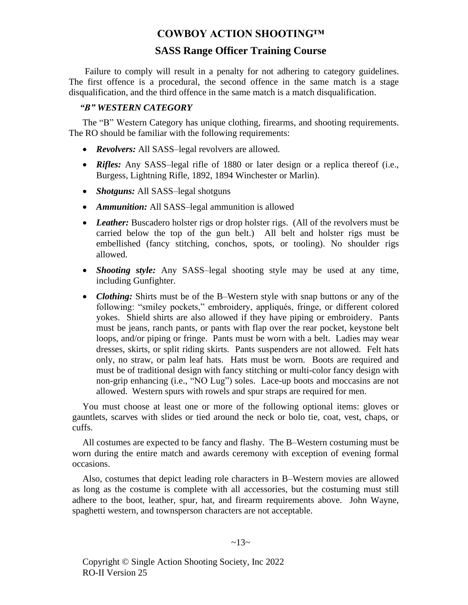# **SASS Range Officer Training Course**

Failure to comply will result in a penalty for not adhering to category guidelines. The first offence is a procedural, the second offence in the same match is a stage disqualification, and the third offence in the same match is a match disqualification.

## <span id="page-16-0"></span>*"B" WESTERN CATEGORY*

The "B" Western Category has unique clothing, firearms, and shooting requirements. The RO should be familiar with the following requirements:

- *Revolvers:* All SASS–legal revolvers are allowed.
- *Rifles:* Any SASS–legal rifle of 1880 or later design or a replica thereof (i.e., Burgess, Lightning Rifle, 1892, 1894 Winchester or Marlin).
- *Shotguns:* All SASS–legal shotguns
- *Ammunition:* All SASS–legal ammunition is allowed
- *Leather:* Buscadero holster rigs or drop holster rigs. (All of the revolvers must be carried below the top of the gun belt.) All belt and holster rigs must be embellished (fancy stitching, conchos, spots, or tooling). No shoulder rigs allowed.
- *Shooting style:* Any SASS–legal shooting style may be used at any time, including Gunfighter.
- *Clothing:* Shirts must be of the B–Western style with snap buttons or any of the following: "smiley pockets," embroidery, appliqués, fringe, or different colored yokes. Shield shirts are also allowed if they have piping or embroidery. Pants must be jeans, ranch pants, or pants with flap over the rear pocket, keystone belt loops, and/or piping or fringe. Pants must be worn with a belt. Ladies may wear dresses, skirts, or split riding skirts. Pants suspenders are not allowed. Felt hats only, no straw, or palm leaf hats. Hats must be worn. Boots are required and must be of traditional design with fancy stitching or multi-color fancy design with non-grip enhancing (i.e., "NO Lug") soles. Lace-up boots and moccasins are not allowed. Western spurs with rowels and spur straps are required for men.

You must choose at least one or more of the following optional items: gloves or gauntlets, scarves with slides or tied around the neck or bolo tie, coat, vest, chaps, or cuffs.

All costumes are expected to be fancy and flashy. The B–Western costuming must be worn during the entire match and awards ceremony with exception of evening formal occasions.

Also, costumes that depict leading role characters in B–Western movies are allowed as long as the costume is complete with all accessories, but the costuming must still adhere to the boot, leather, spur, hat, and firearm requirements above. John Wayne, spaghetti western, and townsperson characters are not acceptable.

 $~13~$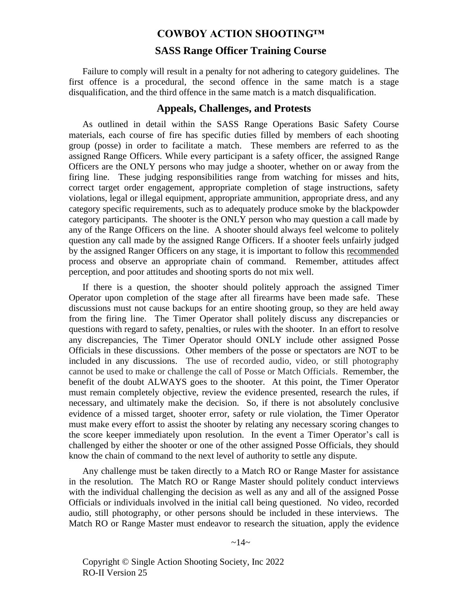#### **SASS Range Officer Training Course**

Failure to comply will result in a penalty for not adhering to category guidelines. The first offence is a procedural, the second offence in the same match is a stage disqualification, and the third offence in the same match is a match disqualification.

#### **Appeals, Challenges, and Protests**

<span id="page-17-0"></span>As outlined in detail within the SASS Range Operations Basic Safety Course materials, each course of fire has specific duties filled by members of each shooting group (posse) in order to facilitate a match. These members are referred to as the assigned Range Officers. While every participant is a safety officer, the assigned Range Officers are the ONLY persons who may judge a shooter, whether on or away from the firing line. These judging responsibilities range from watching for misses and hits, correct target order engagement, appropriate completion of stage instructions, safety violations, legal or illegal equipment, appropriate ammunition, appropriate dress, and any category specific requirements, such as to adequately produce smoke by the blackpowder category participants. The shooter is the ONLY person who may question a call made by any of the Range Officers on the line. A shooter should always feel welcome to politely question any call made by the assigned Range Officers. If a shooter feels unfairly judged by the assigned Ranger Officers on any stage, it is important to follow this recommended process and observe an appropriate chain of command. Remember, attitudes affect perception, and poor attitudes and shooting sports do not mix well.

If there is a question, the shooter should politely approach the assigned Timer Operator upon completion of the stage after all firearms have been made safe. These discussions must not cause backups for an entire shooting group, so they are held away from the firing line. The Timer Operator shall politely discuss any discrepancies or questions with regard to safety, penalties, or rules with the shooter. In an effort to resolve any discrepancies, The Timer Operator should ONLY include other assigned Posse Officials in these discussions. Other members of the posse or spectators are NOT to be included in any discussions. The use of recorded audio, video, or still photography cannot be used to make or challenge the call of Posse or Match Officials. Remember, the benefit of the doubt ALWAYS goes to the shooter. At this point, the Timer Operator must remain completely objective, review the evidence presented, research the rules, if necessary, and ultimately make the decision. So, if there is not absolutely conclusive evidence of a missed target, shooter error, safety or rule violation, the Timer Operator must make every effort to assist the shooter by relating any necessary scoring changes to the score keeper immediately upon resolution. In the event a Timer Operator's call is challenged by either the shooter or one of the other assigned Posse Officials, they should know the chain of command to the next level of authority to settle any dispute.

Any challenge must be taken directly to a Match RO or Range Master for assistance in the resolution. The Match RO or Range Master should politely conduct interviews with the individual challenging the decision as well as any and all of the assigned Posse Officials or individuals involved in the initial call being questioned. No video, recorded audio, still photography, or other persons should be included in these interviews. The Match RO or Range Master must endeavor to research the situation, apply the evidence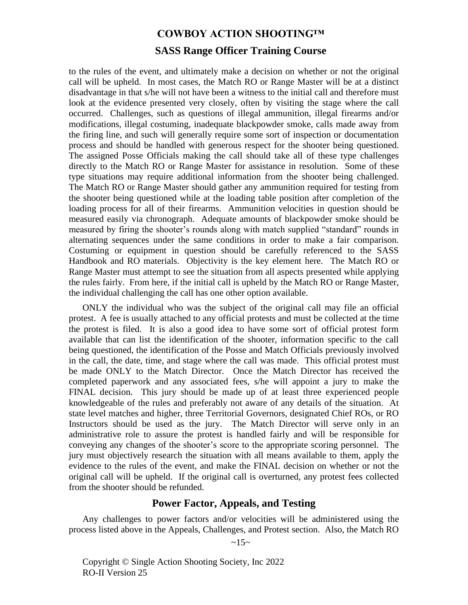# **SASS Range Officer Training Course**

to the rules of the event, and ultimately make a decision on whether or not the original call will be upheld. In most cases, the Match RO or Range Master will be at a distinct disadvantage in that s/he will not have been a witness to the initial call and therefore must look at the evidence presented very closely, often by visiting the stage where the call occurred. Challenges, such as questions of illegal ammunition, illegal firearms and/or modifications, illegal costuming, inadequate blackpowder smoke, calls made away from the firing line, and such will generally require some sort of inspection or documentation process and should be handled with generous respect for the shooter being questioned. The assigned Posse Officials making the call should take all of these type challenges directly to the Match RO or Range Master for assistance in resolution. Some of these type situations may require additional information from the shooter being challenged. The Match RO or Range Master should gather any ammunition required for testing from the shooter being questioned while at the loading table position after completion of the loading process for all of their firearms. Ammunition velocities in question should be measured easily via chronograph. Adequate amounts of blackpowder smoke should be measured by firing the shooter's rounds along with match supplied "standard" rounds in alternating sequences under the same conditions in order to make a fair comparison. Costuming or equipment in question should be carefully referenced to the SASS Handbook and RO materials. Objectivity is the key element here. The Match RO or Range Master must attempt to see the situation from all aspects presented while applying the rules fairly. From here, if the initial call is upheld by the Match RO or Range Master, the individual challenging the call has one other option available.

ONLY the individual who was the subject of the original call may file an official protest. A fee is usually attached to any official protests and must be collected at the time the protest is filed. It is also a good idea to have some sort of official protest form available that can list the identification of the shooter, information specific to the call being questioned, the identification of the Posse and Match Officials previously involved in the call, the date, time, and stage where the call was made. This official protest must be made ONLY to the Match Director. Once the Match Director has received the completed paperwork and any associated fees, s/he will appoint a jury to make the FINAL decision. This jury should be made up of at least three experienced people knowledgeable of the rules and preferably not aware of any details of the situation. At state level matches and higher, three Territorial Governors, designated Chief ROs, or RO Instructors should be used as the jury. The Match Director will serve only in an administrative role to assure the protest is handled fairly and will be responsible for conveying any changes of the shooter's score to the appropriate scoring personnel. The jury must objectively research the situation with all means available to them, apply the evidence to the rules of the event, and make the FINAL decision on whether or not the original call will be upheld. If the original call is overturned, any protest fees collected from the shooter should be refunded.

#### **Power Factor, Appeals, and Testing**

<span id="page-18-0"></span>Any challenges to power factors and/or velocities will be administered using the process listed above in the Appeals, Challenges, and Protest section. Also, the Match RO

 $~15~$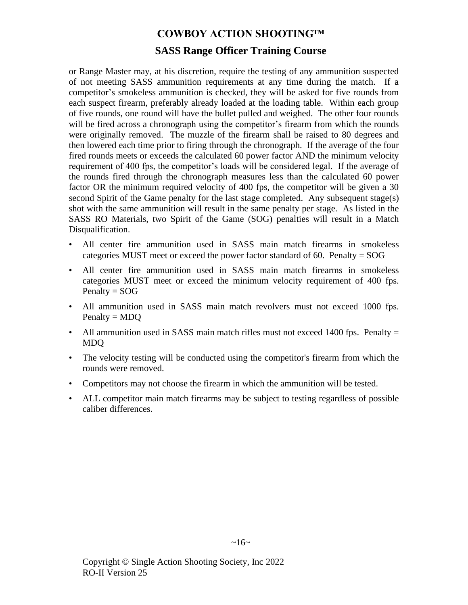# **SASS Range Officer Training Course**

or Range Master may, at his discretion, require the testing of any ammunition suspected of not meeting SASS ammunition requirements at any time during the match. If a competitor's smokeless ammunition is checked, they will be asked for five rounds from each suspect firearm, preferably already loaded at the loading table. Within each group of five rounds, one round will have the bullet pulled and weighed. The other four rounds will be fired across a chronograph using the competitor's firearm from which the rounds were originally removed. The muzzle of the firearm shall be raised to 80 degrees and then lowered each time prior to firing through the chronograph. If the average of the four fired rounds meets or exceeds the calculated 60 power factor AND the minimum velocity requirement of 400 fps, the competitor's loads will be considered legal. If the average of the rounds fired through the chronograph measures less than the calculated 60 power factor OR the minimum required velocity of 400 fps, the competitor will be given a 30 second Spirit of the Game penalty for the last stage completed. Any subsequent stage(s) shot with the same ammunition will result in the same penalty per stage. As listed in the SASS RO Materials, two Spirit of the Game (SOG) penalties will result in a Match Disqualification.

- All center fire ammunition used in SASS main match firearms in smokeless categories MUST meet or exceed the power factor standard of 60. Penalty = SOG
- All center fire ammunition used in SASS main match firearms in smokeless categories MUST meet or exceed the minimum velocity requirement of 400 fps.  $Penalty = SOG$
- All ammunition used in SASS main match revolvers must not exceed 1000 fps.  $Penalty = MDO$
- All ammunition used in SASS main match rifles must not exceed 1400 fps. Penalty = MDQ
- The velocity testing will be conducted using the competitor's firearm from which the rounds were removed.
- Competitors may not choose the firearm in which the ammunition will be tested.
- ALL competitor main match firearms may be subject to testing regardless of possible caliber differences.